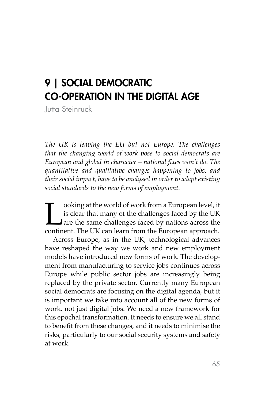# 9 | SOCIAL DEMOCRATIC CO-OPERATION IN THE DIGITAL AGE

Jutta Steinruck

*The UK is leaving the EU but not Europe. The challenges that the changing world of work pose to social democrats are European and global in character – national fixes won't do. The quantitative and qualitative changes happening to jobs, and their social impact, have to be analysed in order to adapt existing social standards to the new forms of employment.*

ooking at the world of work from a European level, it<br>is clear that many of the challenges faced by the UK<br>are the same challenges faced by nations across the<br>continent. The UK can learn from the European approach. is clear that many of the challenges faced by the UK are the same challenges faced by nations across the continent. The UK can learn from the European approach.

Across Europe, as in the UK, technological advances have reshaped the way we work and new employment models have introduced new forms of work. The development from manufacturing to service jobs continues across Europe while public sector jobs are increasingly being replaced by the private sector. Currently many European social democrats are focusing on the digital agenda, but it is important we take into account all of the new forms of work, not just digital jobs. We need a new framework for this epochal transformation. It needs to ensure we all stand to benefit from these changes, and it needs to minimise the risks, particularly to our social security systems and safety at work.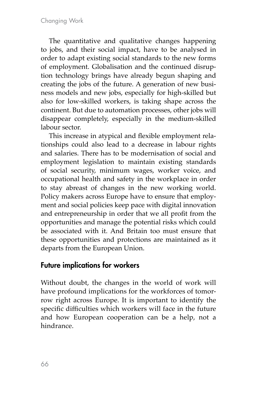The quantitative and qualitative changes happening to jobs, and their social impact, have to be analysed in order to adapt existing social standards to the new forms of employment. Globalisation and the continued disruption technology brings have already begun shaping and creating the jobs of the future. A generation of new business models and new jobs, especially for high-skilled but also for low-skilled workers, is taking shape across the continent. But due to automation processes, other jobs will disappear completely, especially in the medium-skilled labour sector.

This increase in atypical and flexible employment relationships could also lead to a decrease in labour rights and salaries. There has to be modernisation of social and employment legislation to maintain existing standards of social security, minimum wages, worker voice, and occupational health and safety in the workplace in order to stay abreast of changes in the new working world. Policy makers across Europe have to ensure that employment and social policies keep pace with digital innovation and entrepreneurship in order that we all profit from the opportunities and manage the potential risks which could be associated with it. And Britain too must ensure that these opportunities and protections are maintained as it departs from the European Union.

# Future implications for workers

Without doubt, the changes in the world of work will have profound implications for the workforces of tomorrow right across Europe. It is important to identify the specific difficulties which workers will face in the future and how European cooperation can be a help, not a hindrance.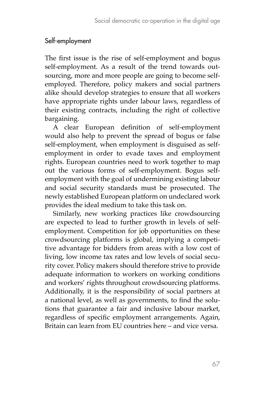### Self-employment

The first issue is the rise of self-employment and bogus self-employment. As a result of the trend towards outsourcing, more and more people are going to become selfemployed. Therefore, policy makers and social partners alike should develop strategies to ensure that all workers have appropriate rights under labour laws, regardless of their existing contracts, including the right of collective bargaining.

A clear European definition of self-employment would also help to prevent the spread of bogus or false self-employment, when employment is disguised as selfemployment in order to evade taxes and employment rights. European countries need to work together to map out the various forms of self-employment. Bogus selfemployment with the goal of undermining existing labour and social security standards must be prosecuted. The newly established European platform on undeclared work provides the ideal medium to take this task on.

Similarly, new working practices like crowdsourcing are expected to lead to further growth in levels of selfemployment. Competition for job opportunities on these crowdsourcing platforms is global, implying a competitive advantage for bidders from areas with a low cost of living, low income tax rates and low levels of social security cover. Policy makers should therefore strive to provide adequate information to workers on working conditions and workers' rights throughout crowdsourcing platforms. Additionally, it is the responsibility of social partners at a national level, as well as governments, to find the solutions that guarantee a fair and inclusive labour market, regardless of specific employment arrangements. Again, Britain can learn from EU countries here – and vice versa.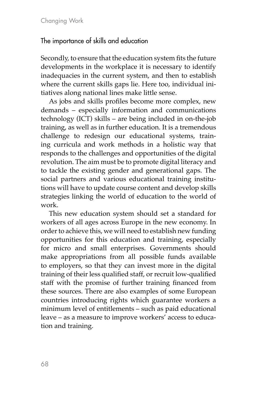#### The importance of skills and education

Secondly, to ensure that the education system fits the future developments in the workplace it is necessary to identify inadequacies in the current system, and then to establish where the current skills gaps lie. Here too, individual initiatives along national lines make little sense.

As jobs and skills profiles become more complex, new demands – especially information and communications technology (ICT) skills – are being included in on-the-job training, as well as in further education. It is a tremendous challenge to redesign our educational systems, training curricula and work methods in a holistic way that responds to the challenges and opportunities of the digital revolution. The aim must be to promote digital literacy and to tackle the existing gender and generational gaps. The social partners and various educational training institutions will have to update course content and develop skills strategies linking the world of education to the world of work.

This new education system should set a standard for workers of all ages across Europe in the new economy. In order to achieve this, we will need to establish new funding opportunities for this education and training, especially for micro and small enterprises. Governments should make appropriations from all possible funds available to employers, so that they can invest more in the digital training of their less qualified staff, or recruit low-qualified staff with the promise of further training financed from these sources. There are also examples of some European countries introducing rights which guarantee workers a minimum level of entitlements – such as paid educational leave – as a measure to improve workers' access to education and training.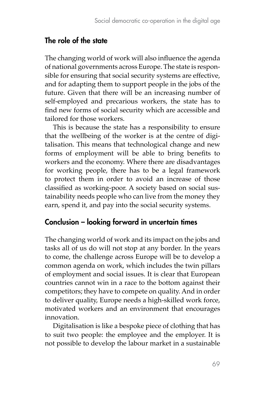## The role of the state

The changing world of work will also influence the agenda of national governments across Europe. The state is responsible for ensuring that social security systems are effective, and for adapting them to support people in the jobs of the future. Given that there will be an increasing number of self-employed and precarious workers, the state has to find new forms of social security which are accessible and tailored for those workers.

This is because the state has a responsibility to ensure that the wellbeing of the worker is at the centre of digitalisation. This means that technological change and new forms of employment will be able to bring benefits to workers and the economy. Where there are disadvantages for working people, there has to be a legal framework to protect them in order to avoid an increase of those classified as working-poor. A society based on social sustainability needs people who can live from the money they earn, spend it, and pay into the social security systems.

# Conclusion – looking forward in uncertain times

The changing world of work and its impact on the jobs and tasks all of us do will not stop at any border. In the years to come, the challenge across Europe will be to develop a common agenda on work, which includes the twin pillars of employment and social issues. It is clear that European countries cannot win in a race to the bottom against their competitors; they have to compete on quality. And in order to deliver quality, Europe needs a high-skilled work force, motivated workers and an environment that encourages innovation.

Digitalisation is like a bespoke piece of clothing that has to suit two people: the employee and the employer. It is not possible to develop the labour market in a sustainable